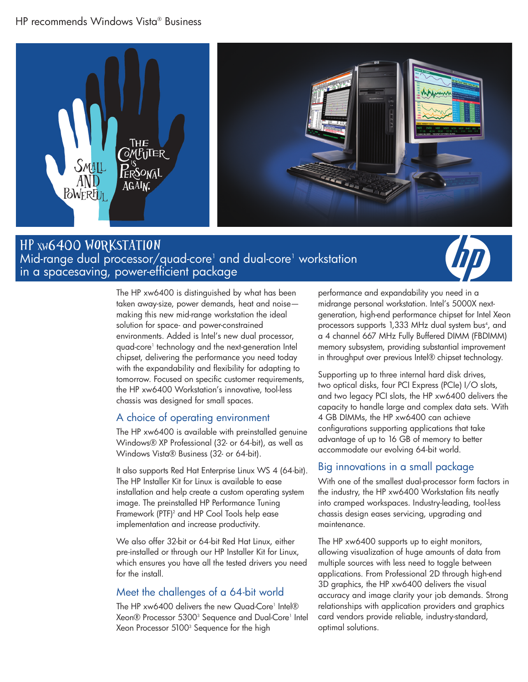### HP recommends Windows Vista® Business



# Mid-range dual processor/quad-core<sup>1</sup> and dual-core<sup>1</sup> workstation in a spacesaving, power-efficient package HP xw6400 Workstation



The HP xw6400 is distinguished by what has been taken away-size, power demands, heat and noise making this new mid-range workstation the ideal solution for space- and power-constrained environments. Added is Intel's new dual processor, quad-core1 technology and the next-generation Intel chipset, delivering the performance you need today with the expandability and flexibility for adapting to tomorrow. Focused on specific customer requirements, the HP xw6400 Workstation's innovative, tool-less chassis was designed for small spaces.

#### A choice of operating environment

The HP xw6400 is available with preinstalled genuine Windows® XP Professional (32- or 64-bit), as well as Windows Vista® Business (32- or 64-bit).

It also supports Red Hat Enterprise Linux WS 4 (64-bit). The HP Installer Kit for Linux is available to ease installation and help create a custom operating system image. The preinstalled HP Performance Tuning Framework (PTF)<sup>2</sup> and HP Cool Tools help ease implementation and increase productivity.

We also offer 32-bit or 64-bit Red Hat Linux, either pre-installed or through our HP Installer Kit for Linux, which ensures you have all the tested drivers you need for the install.

## Meet the challenges of a 64-bit world

The HP xw6400 delivers the new Quad-Core<sup>1</sup> Intel® Xeon® Processor 5300<sup>3</sup> Sequence and Dual-Core<sup>1</sup> Intel Xeon Processor 5100<sup>3</sup> Sequence for the high

performance and expandability you need in a midrange personal workstation. Intel's 5000X nextgeneration, high-end performance chipset for Intel Xeon processors supports 1,333 MHz dual system bus<sup>4</sup>, and a 4 channel 667 MHz Fully Buffered DIMM (FBDIMM) memory subsystem, providing substantial improvement in throughput over previous Intel® chipset technology.

Supporting up to three internal hard disk drives, two optical disks, four PCI Express (PCIe) I/O slots, and two legacy PCI slots, the HP xw6400 delivers the capacity to handle large and complex data sets. With 4 GB DIMMs, the HP xw6400 can achieve configurations supporting applications that take advantage of up to 16 GB of memory to better accommodate our evolving 64-bit world.

#### Big innovations in a small package

With one of the smallest dual-processor form factors in the industry, the HP xw6400 Workstation fits neatly into cramped workspaces. Industry-leading, tool-less chassis design eases servicing, upgrading and maintenance.

The HP xw6400 supports up to eight monitors, allowing visualization of huge amounts of data from multiple sources with less need to toggle between applications. From Professional 2D through high-end 3D graphics, the HP xw6400 delivers the visual accuracy and image clarity your job demands. Strong relationships with application providers and graphics card vendors provide reliable, industry-standard, optimal solutions.